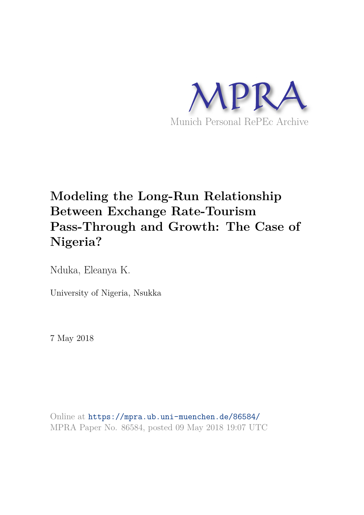

# **Modeling the Long-Run Relationship Between Exchange Rate-Tourism Pass-Through and Growth: The Case of Nigeria?**

Nduka, Eleanya K.

University of Nigeria, Nsukka

7 May 2018

Online at https://mpra.ub.uni-muenchen.de/86584/ MPRA Paper No. 86584, posted 09 May 2018 19:07 UTC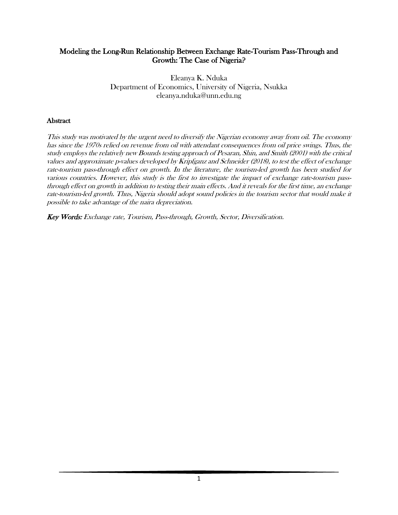# Modeling the Long-Run Relationship Between Exchange Rate-Tourism Pass-Through and Growth: The Case of Nigeria?

Eleanya K. Nduka Department of Economics, University of Nigeria, Nsukka eleanya.nduka@unn.edu.ng

# **Abstract**

This study was motivated by the urgent need to diversify the Nigerian economy away from oil. The economy has since the 1970s relied on revenue from oil with attendant consequences from oil price swings. Thus, the study employs the relatively new Bounds testing approach of Pesaran, Shin, and Smith (2001) with the critical values and approximate p-values developed by Kripfganz and Schneider (2018), to test the effect of exchange rate-tourism pass-through effect on growth. In the literature, the tourism-led growth has been studied for various countries. However, this study is the first to investigate the impact of exchange rate-tourism passthrough effect on growth in addition to testing their main effects. And it reveals for the first time, an exchange rate-tourism-led growth. Thus, Nigeria should adopt sound policies in the tourism sector that would make it possible to take advantage of the naira depreciation.

Key Words: Exchange rate, Tourism, Pass-through, Growth, Sector, Diversification.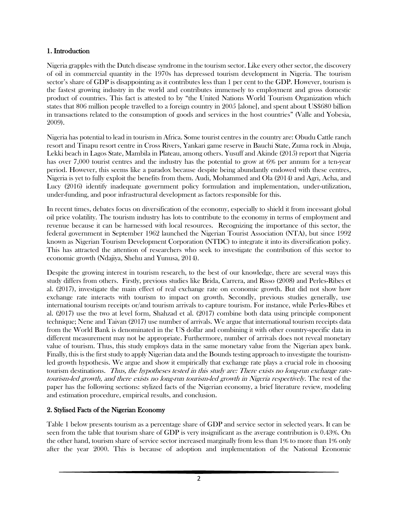## 1. Introduction

Nigeria grapples with the Dutch disease syndrome in the tourism sector. Like every other sector, the discovery of oil in commercial quantity in the 1970s has depressed tourism development in Nigeria. The tourism sector's share of GDP is disappointing as it contributes less than 1 per cent to the GDP. However, tourism is the fastest growing industry in the world and contributes immensely to employment and gross domestic product of countries. This fact is attested to by "the United Nations World Tourism Organization which states that 806 million people travelled to a foreign country in 2005 [alone], and spent about US\$680 billion in transactions related to the consumption of goods and services in the host countries" (Valle and Yobesia, 2009).

Nigeria has potential to lead in tourism in Africa. Some tourist centres in the country are: Obudu Cattle ranch resort and Tinapu resort centre in Cross Rivers, Yankari game reserve in Bauchi State, Zuma rock in Abuja, Lekki beach in Lagos State, Mambila in Plateau, among others. Yusuff and Akinde (2015) report that Nigeria has over 7,000 tourist centres and the industry has the potential to grow at 6% per annum for a ten-year period. However, this seems like a paradox because despite being abundantly endowed with these centres, Nigeria is yet to fully exploit the benefits from them. Audi, Mohammed and Ola (2014) and Agri, Acha, and Lucy (2016) identify inadequate government policy formulation and implementation, under-utilization, under-funding, and poor infrastructural development as factors responsible for this.

In recent times, debates focus on diversification of the economy, especially to shield it from incessant global oil price volatility. The tourism industry has lots to contribute to the economy in terms of employment and revenue because it can be harnessed with local resources. Recognizing the importance of this sector, the federal government in September 1962 launched the Nigerian Tourist Association (NTA), but since 1992 known as Nigerian Tourism Development Corporation (NTDC) to integrate it into its diversification policy. This has attracted the attention of researchers who seek to investigate the contribution of this sector to economic growth (Ndajiya, Shehu and Yunusa, 2014).

Despite the growing interest in tourism research, to the best of our knowledge, there are several ways this study differs from others. Firstly, previous studies like Brida, Carrera, and Risso (2008) and Perles-Ribes et al. (2017), investigate the main effect of real exchange rate on economic growth. But did not show how exchange rate interacts with tourism to impact on growth. Secondly, previous studies generally, use international tourism receipts or/and tourism arrivals to capture tourism. For instance, while Perles-Ribes et al. (2017) use the two at level form, Shahzad et al. (2017) combine both data using principle component technique; Nene and Taivan (2017) use number of arrivals. We argue that international tourism receipts data from the World Bank is denominated in the US dollar and combining it with other country-specific data in different measurement may not be appropriate. Furthermore, number of arrivals does not reveal monetary value of tourism. Thus, this study employs data in the same monetary value from the Nigerian apex bank. Finally, this is the first study to apply Nigerian data and the Bounds testing approach to investigate the tourismled growth hypothesis. We argue and show it empirically that exchange rate plays a crucial role in choosing tourism destinations. Thus, the hypotheses tested in this study are: There exists no long-run exchange ratetourism-led growth, and there exists no long-run tourism-led growth in Nigeria respectively. The rest of the paper has the following sections: stylized facts of the Nigerian economy, a brief literature review, modeling and estimation procedure, empirical results, and conclusion.

## 2. Stylised Facts of the Nigerian Economy

Table 1 below presents tourism as a percentage share of GDP and service sector in selected years. It can be seen from the table that tourism share of GDP is very insignificant as the average contribution is 0.43%. On the other hand, tourism share of service sector increased marginally from less than 1% to more than 1% only after the year 2000. This is because of adoption and implementation of the National Economic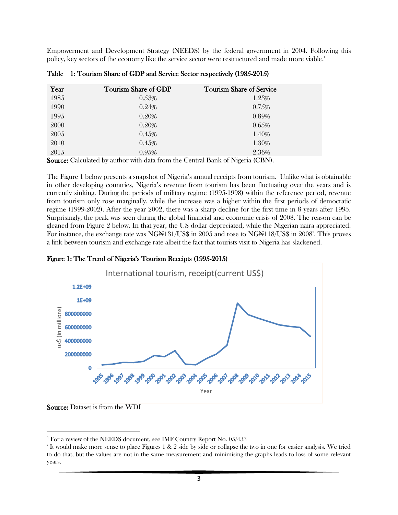Empowerment and Development Strategy (NEEDS) by the federal government in 2004. Following this policy, key sectors of the economy like the service sector were restructured and made more viable.<sup>1</sup>

| Year | Tourism Share of GDP | <b>Tourism Share of Service</b> |
|------|----------------------|---------------------------------|
| 1985 | 0.53%                | 1.23%                           |
| 1990 | 0.24%                | 0.75%                           |
| 1995 | 0.20%                | 0.89%                           |
| 2000 | 0.20%                | 0.65%                           |
| 2005 | 0.45%                | 1.40%                           |
| 2010 | 0.45%                | 1.30%                           |
| 2015 | 0.95%                | 2.36%                           |

Table 1: Tourism Share of GDP and Service Sector respectively (1985-2015)

Source: Calculated by author with data from the Central Bank of Nigeria (CBN).

The Figure 1 below presents a snapshot of Nigeria's annual receipts from tourism. Unlike what is obtainable in other developing countries, Nigeria's revenue from tourism has been fluctuating over the years and is currently sinking. During the periods of military regime (1995-1998) within the reference period, revenue from tourism only rose marginally, while the increase was a higher within the first periods of democratic regime (1999-2002). After the year 2002, there was a sharp decline for the first time in 8 years after 1995. Surprisingly, the peak was seen during the global financial and economic crisis of 2008. The reason can be gleaned from Figure 2 below. In that year, the US dollar depreciated, while the Nigerian naira appreciated. For instance, the exchange rate was NGN131/US\$ in 2005 and rose to NGN118/US\$ in 2008<sup>2</sup>. This proves a link between tourism and exchange rate albeit the fact that tourists visit to Nigeria has slackened.





<sup>&</sup>lt;sup>1</sup> For a review of the NEEDS document, see IMF Country Report No. 05/433

 $\overline{\phantom{0}}$ 

<sup>2</sup> It would make more sense to place Figures 1 & 2 side by side or collapse the two in one for easier analysis. We tried to do that, but the values are not in the same measurement and minimising the graphs leads to loss of some relevant years.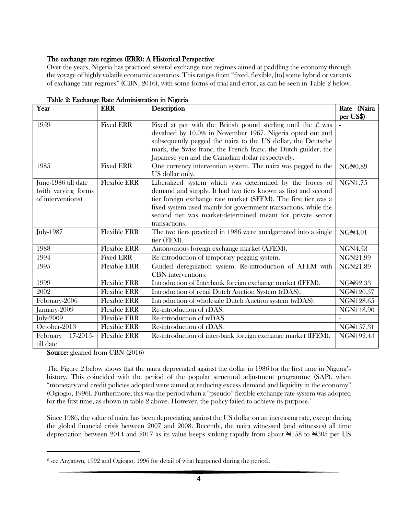### The exchange rate regimes (ERR): A Historical Perspective

Over the years, Nigeria has practiced several exchange rate regimes aimed at paddling the economy through the voyage of highly volatile economic scenarios. This ranges from "fixed, flexible, [to] some hybrid or variants of exchange rate regimes" (CBN, 2016), with some forms of trial and error, as can be seen in Table 2 below.

| Year                 | <b>ERR</b>          | Description                                                             | Rate (Naira |
|----------------------|---------------------|-------------------------------------------------------------------------|-------------|
|                      |                     |                                                                         | per US\$)   |
| 1959                 | <b>Fixed ERR</b>    | Fixed at per with the British pound sterling until the $\mathcal L$ was |             |
|                      |                     | devalued by 10.0% in November 1967. Nigeria opted out and               |             |
|                      |                     | subsequently pegged the naira to the US dollar, the Deutsche            |             |
|                      |                     | mark, the Swiss franc, the French franc, the Dutch guilder, the         |             |
|                      |                     | Japanese yen and the Canadian dollar respectively.                      |             |
| 1985                 | <b>Fixed ERR</b>    | One currency intervention system. The naira was pegged to the           | NGN0.89     |
|                      |                     | US dollar only.                                                         |             |
| June-1986 till date  | <b>Flexible ERR</b> | Liberalized system which was determined by the forces of                | NGN1.75     |
| (with varying forms  |                     | demand and supply. It had two tiers known as first and second           |             |
| of interventions)    |                     | tier foreign exchange rate market (SFEM). The first tier was a          |             |
|                      |                     | fixed system used mainly for government transactions, while the         |             |
|                      |                     | second tier was market-determined meant for private sector              |             |
|                      |                     | transactions.                                                           |             |
| <b>July-1987</b>     | <b>Flexible ERR</b> | The two tiers practiced in 1986 were amalgamated into a single          | NGN4.01     |
|                      |                     | tier (FEM).                                                             |             |
| 1988                 | <b>Flexible ERR</b> | Autonomous foreign exchange market (AFEM).                              | NGN4.53     |
| 1994                 | <b>Fixed ERR</b>    | Re-introduction of temporary pegging system.                            | NGN21.99    |
| 1995                 | <b>Flexible ERR</b> | Guided deregulation system. Re-introduction of AFEM with                | NGN21.89    |
|                      |                     | CBN interventions.                                                      |             |
| 1999                 | <b>Flexible ERR</b> | Introduction of Interbank foreign exchange market (IFEM).               | NGN92.33    |
| 2002                 | <b>Flexible ERR</b> | Introduction of retail Dutch Auction System (rDAS).                     | NGN120.57   |
| February-2006        | <b>Flexible ERR</b> | Introduction of wholesale Dutch Auction system (wDAS).                  | NGN128.65   |
| January-2009         | <b>Flexible ERR</b> | Re-introduction of rDAS.                                                | NGN148.90   |
| <b>July-2009</b>     | <b>Flexible ERR</b> | Re-introduction of wDAS.                                                |             |
| October-2013         | <b>Flexible ERR</b> | Re-introduction of rDAS.                                                | NGN157.31   |
| 17-2015-<br>February | <b>Flexible ERR</b> | Re-introduction of inter-bank foreign exchange market (IFEM).           | NGN192.44   |
| till date            |                     |                                                                         |             |

Table 2: Exchange Rate Administration in Nigeria

## Source: gleaned from CBN (2016)

 $\overline{\phantom{0}}$ 

The Figure 2 below shows that the naira depreciated against the dollar in 1986 for the first time in Nigeria's history. This coincided with the period of the popular structural adjustment programme (SAP), when "monetary and credit policies adopted were aimed at reducing excess demand and liquidity in the economy" (Ogiogio, 1996). Furthermore, this was the period when a "pseudo" flexible exchange rate system was adopted for the first time, as shown in table 2 above. However, the policy failed to achieve its purpose.<sup>3</sup>

Since 1986, the value of naira has been depreciating against the US dollar on an increasing rate, except during the global financial crisis between 2007 and 2008. Recently, the naira witnessed (and witnesses) all time depreciation between 2014 and 2017 as its value keeps sinking rapidly from about  $\text{N158}$  to  $\text{N305}$  per US

<sup>&</sup>lt;sup>3</sup> see Anyanwu, 1992 and Ogiogio, 1996 for detail of what happened during the period.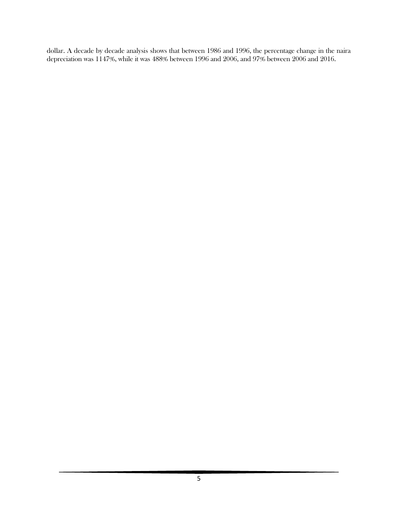dollar. A decade by decade analysis shows that between 1986 and 1996, the percentage change in the naira depreciation was 1147%, while it was 488% between 1996 and 2006, and 97% between 2006 and 2016.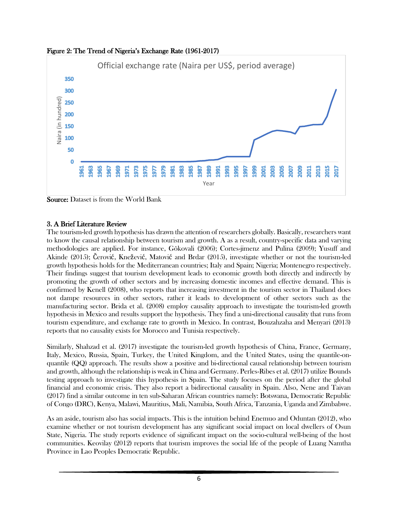

**CEOS** 

Figure 2: The Trend of Nigeria's Exchange Rate (1961-2017)

Source: Dataset is from the World Bank

## 3. A Brief Literature Review

The tourism-led growth hypothesis has drawn the attention of researchers globally. Basically, researchers want to know the causal relationship between tourism and growth. A as a result, country-specific data and varying methodologies are applied. For instance, Gõkovali (2006); Cortes-jimenz and Pulina (2009); Yusuff and Akinde (2015); Čerović, Knežević, Matović and Brdar (2015), investigate whether or not the tourism-led growth hypothesis holds for the Mediterranean countries; Italy and Spain; Nigeria; Montenegro respectively. Their findings suggest that tourism development leads to economic growth both directly and indirectly by promoting the growth of other sectors and by increasing domestic incomes and effective demand. This is confirmed by Kenell (2008), who reports that increasing investment in the tourism sector in Thailand does not dampe resources in other sectors, rather it leads to development of other sectors such as the manufacturing sector. Brida et al. (2008) employ causality approach to investigate the tourism-led growth hypothesis in Mexico and results support the hypothesis. They find a uni-directional causality that runs from tourism expenditure, and exchange rate to growth in Mexico. In contrast, Bouzahzaha and Menyari (2013) reports that no causality exists for Morocco and Tunisia respectively. **Example 120**<br> **Example 120**<br> **Example 120**<br> **Example 120**<br> **Example 120**<br> **Example 120**<br> **Source:** Dataset is from the World Bank<br> **Source:** Dataset is from the World Bank<br> **Source:** Dataset is from the World Bank<br> **Sour** 

Similarly, Shahzad et al. (2017) investigate the tourism-led growth hypothesis of China, France, Germany, Italy, Mexico, Russia, Spain, Turkey, the United Kingdom, and the United States, using the quantile-onquantile (QQ) approach. The results show a positive and bi-directional causal relationship between tourism and growth, although the relationship is weak in China and Germany. Perles-Ribes et al. (2017) utilize Bounds testing approach to investigate this hypothesis in Spain. The study focuses on the period after the global financial and economic crisis. They also report a bidirectional causality in Spain. Also, Nene and Taivan (2017) find a similar outcome in ten sub-Saharan African countries namely: Botswana, Democratic Republic of Congo (DRC), Kenya, Malawi, Mauritius, Mali, Namibia, South Africa, Tanzania, Uganda and Zimbabwe.

As an aside, tourism also has social impacts. This is the intuition behind Enemuo and Oduntan (2012), who examine whether or not tourism development has any significant social impact on local dwellers of Osun State, Nigeria. The study reports evidence of significant impact on the socio-cultural well-being of the host communities. Keovilay (2012) reports that tourism improves the social life of the people of Luang Namtha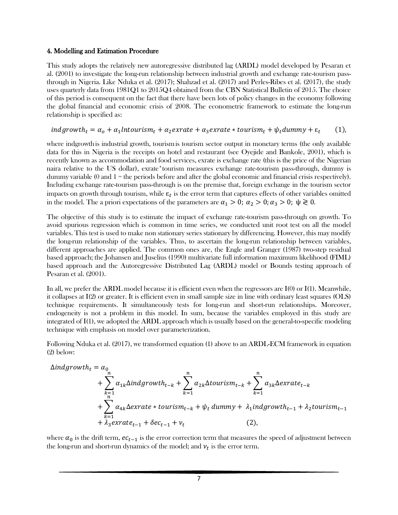#### 4. Modelling and Estimation Procedure

This study adopts the relatively new autoregressive distributed lag (ARDL) model developed by Pesaran et al. (2001) to investigate the long-run relationship between industrial growth and exchange rate-tourism passthrough in Nigeria. Like Nduka et al. (2017); Shahzad et al. (2017) and Perles-Ribes et al. (2017), the study uses quarterly data from 1981Q1 to 2015Q4 obtained from the CBN Statistical Bulletin of 2015. The choice of this period is consequent on the fact that there have been lots of policy changes in the economy following the global financial and economic crisis of 2008. The econometric framework to estimate the long-run relationship is specified as:

 $indgrowth_t = \alpha_0 + \alpha_1$ lntourism<sub>t</sub> +  $\alpha_2$ exrate +  $\alpha_3$ exrate \* tourism<sub>t</sub> +  $\psi_t$ dummy +  $\varepsilon_t$ (1),

where indgrowth is industrial growth, tourism is tourism sector output in monetary terms (the only available data for this in Nigeria is the receipts on hotel and restaurant (see Oyejide and Bankole, 2001), which is recently known as accommodation and food services, exrate is exchange rate (this is the price of the Nigerian naira relative to the US dollar), exrate\*tourism measures exchange rate-tourism pass-through, dummy is dummy variable (0 and 1 = the periods before and after the global economic and financial crisis respectively). Including exchange rate-tourism pass-through is on the premise that, foreign exchange in the tourism sector impacts on growth through tourism, while  $\varepsilon_t$  is the error term that captures effects of other variables omitted in the model. The a priori expectations of the parameters are  $\alpha_1 > 0$ ;  $\alpha_2 > 0$ ;  $\alpha_3 > 0$ ;  $\psi \ge 0$ .

The objective of this study is to estimate the impact of exchange rate-tourism pass-through on growth. To avoid spurious regression which is common in time series, we conducted unit root test on all the model variables. This test is used to make non stationary series stationary by differencing. However, this may modify the long-run relationship of the variables. Thus, to ascertain the long-run relationship between variables, different approaches are applied. The common ones are, the Engle and Granger (1987) two-step residual based approach; the Johansen and Juselius (1990) multivariate full information maximum likelihood (FIML) based approach and the Autoregressive Distributed Lag (ARDL) model or Bounds testing approach of Pesaran et al. (2001).

In all, we prefer the ARDL model because it is efficient even when the regressors are I(0) or I(1). Meanwhile, it collapses at I(2) or greater. It is efficient even in small sample size in line with ordinary least squares (OLS) technique requirements. It simultaneously tests for long-run and short-run relationships. Moreover, endogeneity is not a problem in this model. In sum, because the variables employed in this study are integrated of I(1), we adopted the ARDL approach which is usually based on the general-to-specific modeling technique with emphasis on model over parameterization.

Following Nduka et al. (2017), we transformed equation (1) above to an ARDL-ECM framework in equation (2) below:

$$
\Delta indgrowth_t = \alpha_0
$$
  
+ 
$$
\sum_{\substack{k=1 \ k=1}}^n \alpha_{1k} \Delta indgrowth_{t-k} + \sum_{k=1}^n \alpha_{2k} \Delta tourist_{t-k} + \sum_{k=1}^n \alpha_{3k} \Delta extract_{t-k}
$$
  
+ 
$$
\sum_{k=1}^n \alpha_{4k} \Delta extract \cdot totis m_{t-k} + \psi_t \, dummy + \lambda_1 indgrowth_{t-1} + \lambda_2 tourist_{t-1}
$$
  
+ 
$$
\lambda_3 extract_{t-1} + \delta e_{t-1} + \nu_t
$$
 (2),

where  $\alpha_0$  is the drift term,  $ec_{t-1}$  is the error correction term that measures the speed of adjustment between the long-run and short-run dynamics of the model; and  $\nu_t$  is the error term.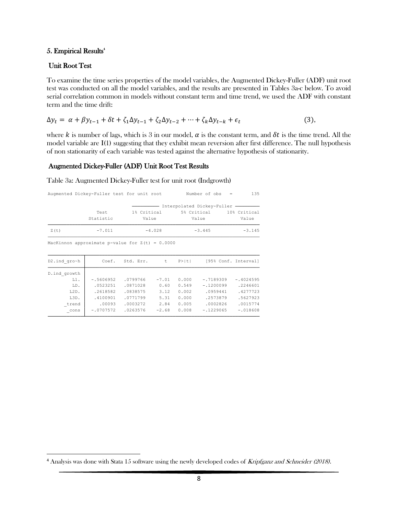#### 5. Empirical Results<sup>4</sup>

#### Unit Root Test

l

To examine the time series properties of the model variables, the Augmented Dickey-Fuller (ADF) unit root test was conducted on all the model variables, and the results are presented in Tables 3a-c below. To avoid serial correlation common in models without constant term and time trend, we used the ADF with constant term and the time drift:

$$
\Delta y_t = \alpha + \beta y_{t-1} + \delta t + \zeta_1 \Delta y_{t-1} + \zeta_2 \Delta y_{t-2} + \dots + \zeta_k \Delta y_{t-k} + \epsilon_t
$$
\n(3)

where k is number of lags, which is 3 in our model,  $\alpha$  is the constant term, and  $\delta t$  is the time trend. All the model variable are I(1) suggesting that they exhibit mean reversion after first difference. The null hypothesis of non stationarity of each variable was tested against the alternative hypothesis of stationarity.

#### Augmented Dickey-Fuller (ADF) Unit Root Test Results

Table 3a: Augmented Dickey-Fuller test for unit root (Indgrowth)

| Augmented Dickey-Fuller test for unit root        |                                           |             |          | Number of obs<br>$=$ | 135                                                |                       |
|---------------------------------------------------|-------------------------------------------|-------------|----------|----------------------|----------------------------------------------------|-----------------------|
|                                                   | 1% Critical<br>Test<br>Statistic<br>Value |             |          |                      | Interpolated Dickey-Fuller<br>5% Critical<br>Value | 10% Critical<br>Value |
| Z(t)                                              | $-7.011$                                  |             | $-4.028$ |                      | $-3.445$                                           |                       |
| MacKinnon approximate p-value for $Z(t) = 0.0000$ |                                           |             |          |                      |                                                    |                       |
| D2.ind gro~h                                      | Coef.                                     | Std. Err. t |          | P >  t               | [95% Conf. Interval]                               |                       |
| D. ind growth                                     |                                           |             |          |                      |                                                    |                       |
| $L1$ .                                            | $-.5606952$                               | .0799766    | $-7.01$  | 0.000                | $-.7189309$                                        | $-.4024595$           |
| LD.                                               | .0523251                                  | .0871028    | 0.60     | 0.549                | $-.1200099$                                        | .2246601              |
| L2D.                                              | .2618582                                  | .0838575    | 3.12     | 0.002                | .0959441                                           | .4277723              |
| L3D.                                              | .4100901                                  | .0771799    | 5.31     | 0.000                | .2573879                                           | .5627923              |
| trend                                             | .00093                                    | .0003272    | 2.84     | 0.005                | .0002826                                           | .0015774              |
| cons                                              | $-.0707572$                               | .0263576    | $-2.68$  | 0.008                | $-.1229065$                                        | $-.018608$            |

<sup>&</sup>lt;sup>4</sup> Analysis was done with Stata 15 software using the newly developed codes of Kripfganz and Schneider (2018).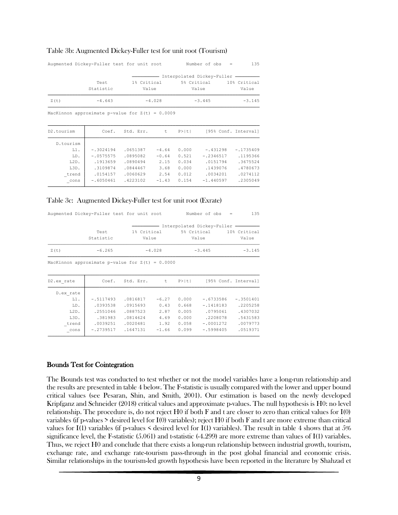#### Table 3b: Augmented Dickey-Fuller test for unit root (Tourism)

|      | Augmented Dickey-Fuller test for unit root |             |          |                              | Number of $obs =$ | 135          |
|------|--------------------------------------------|-------------|----------|------------------------------|-------------------|--------------|
|      |                                            |             |          | Interpolated Dickey-Fuller - |                   |              |
|      | Test                                       | 1% Critical |          | 5% Critical                  |                   | 10% Critical |
|      | Statistic                                  |             | Value    | Value                        |                   | Value        |
| Z(t) | $-4.643$                                   |             | $-4.028$ | $-3.445$                     |                   | $-3.145$     |

MacKinnon approximate p-value for  $Z(t) = 0.0009$ 

| D2.tourism | Coef.       | Std. Err. | t       | $P>$  t |             | [95% Conf. Interval] |
|------------|-------------|-----------|---------|---------|-------------|----------------------|
| D.tourism  |             |           |         |         |             |                      |
| $L1$ .     | $-.3024194$ | .0651387  | $-4.64$ | 0.000   | $-.431298$  | $-.1735409$          |
| LD.        | $-.0575575$ | .0895082  | $-0.64$ | 0.521   | $-.2346517$ | .1195366             |
| L2D.       | .1913659    | .0890494  | 2.15    | 0.034   | .0151794    | .3675524             |
| L3D.       | .3109874    | .0844467  | 3.68    | 0.000   | .1439076    | .4780673             |
| trend      | .0154157    | .0060629  | 2.54    | 0.012   | .0034201    | .0274112             |
| cons       | $-16050461$ | .4223102  | $-1.43$ | 0.154   | $-1.440597$ | .2305049             |

#### Table 3c: Augmented Dickey-Fuller test for unit root (Exrate)

|                                                   | Augmented Dickey-Fuller test for unit root Number of obs = |                      |          |                      |                              | 135                   |  |
|---------------------------------------------------|------------------------------------------------------------|----------------------|----------|----------------------|------------------------------|-----------------------|--|
|                                                   |                                                            |                      |          |                      | Interpolated Dickey-Fuller . |                       |  |
|                                                   | Test<br>Statistic                                          | 1% Critical<br>Value |          | 5% Critical<br>Value |                              | 10% Critical<br>Value |  |
| Z(t)                                              | $-6.265$                                                   |                      | $-4.028$ |                      | $-3.445$                     | $-3.145$              |  |
| MacKinnon approximate p-value for $Z(t) = 0.0000$ |                                                            |                      |          |                      |                              |                       |  |
| D2.ex rate                                        |                                                            | Coef. Std. Err. t    |          | P >  t               |                              | [95% Conf. Interval]  |  |
| D.ex rate                                         |                                                            |                      |          |                      |                              |                       |  |
| $L1$ .                                            | $-.5117493$                                                | .0816817             | $-6.27$  | 0.000                | $-0.6733586$                 | $-.3501401$           |  |
| LD.                                               | .0393538                                                   | .0915693             | 0.43     | 0.668                | $-.1418183$                  | .2205258              |  |
| $L2D$ .                                           | .2551046                                                   | .0887523 2.87        |          | 0.005                | .0795061                     | .4307032              |  |
| L3D.                                              | .381983                                                    | .0814624             | 4.69     | 0.000                | .2208078                     | .5431583              |  |
| trend                                             | .0039251                                                   | .0020481             | 1.92     | 0.058                | $-.0001272$                  | .0079773              |  |

0519371 .1647131 -1.66 0.099 -.5998405 .0519371 \_cons |

#### Bounds Test for Cointegration

The Bounds test was conducted to test whether or not the model variables have a long-run relationship and the results are presented in table 4 below. The F-statistic is usually compared with the lower and upper bound critical values (see Pesaran, Shin, and Smith, 2001). Our estimation is based on the newly developed Kripfganz and Schneider (2018) critical values and approximate p-values. The null hypothesis is H0: no level relationship. The procedure is, do not reject H0 if both F and t are closer to zero than critical values for I(0) variables (if p-values  $>$  desired level for I(0) variables); reject H0 if both F and t are more extreme than critical values for I(1) variables (if p-values  $\leq$  desired level for I(1) variables). The result in table 4 shows that at 5% significance level, the F-statistic (5.061) and t-statistic (-4.299) are more extreme than values of I(1) variables. Thus, we reject H0 and conclude that there exists a long-run relationship between industrial growth, tourism, exchange rate, and exchange rate-tourism pass-through in the post global financial and economic crisis. Similar relationships in the tourism-led growth hypothesis have been reported in the literature by Shahzad et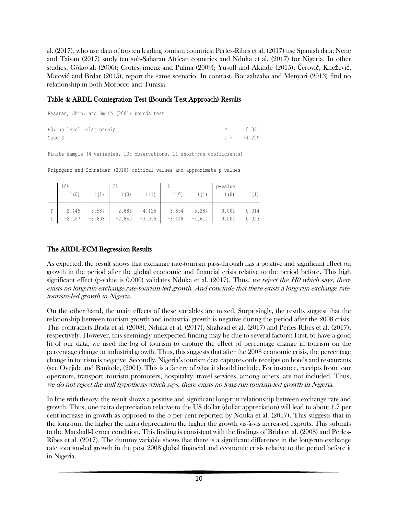al. (2017), who use data of top ten leading tourism countries; Perles-Ribes et al. (2017) use Spanish data; Nene and Taivan (2017) study ten sub-Saharan African countries and Nduka et al. (2017) for Nigeria. In other studies, Gõkovali (2006); Cortes-jimenz and Pulina (2009); Yusuff and Akinde (2015); Čerović, Knežević, Matović and Brdar (2015), report the same scenario. In contrast, Bouzahzaha and Menyari (2013) find no relationship in both Morocco and Tunisia.

## Table 4: ARDL Cointegration Test (Bounds Test Approach) Results

Pesaran, Shin, and Smith (2001) bounds test

| HO: no level relationship | $F = 5.061$  |
|---------------------------|--------------|
| Case 3                    | $t = -4.299$ |

Finite sample (4 variables, 135 observations, 11 short-run coefficients)

Kripfganz and Schneider (2018) critical values and approximate p-values

|   | 10 <sup>°</sup><br>I(0) | I(1) | 5 <sup>°</sup><br>I(0) | I(1) | $1\%$<br>I(0) | p-value<br>$I(1)$ $I(0)$                                                                                             | I(1) |
|---|-------------------------|------|------------------------|------|---------------|----------------------------------------------------------------------------------------------------------------------|------|
| F |                         |      |                        |      |               | 2.445 3.587 2.886 4.125 3.854 5.284 0.001 0.014<br>$-2.527$ $-3.608$ $-2.840$ $-3.955$ $-3.448$ $-4.614$ 0.001 0.023 |      |

### The ARDL-ECM Regression Results

As expected, the result shows that exchange rate-tourism pass-through has a positive and significant effect on growth in the period after the global economic and financial crisis relative to the period before. This high significant effect (p-value is  $0.000$ ) validates Nduka et al. (2017). Thus, we reject the H0 which says, there exists no long-run exchange rate-tourism-led growth. And conclude that there exists a long-run exchange ratetourism-led growth in Nigeria.

On the other hand, the main effects of these variables are mixed. Surprisingly, the results suggest that the relationship between tourism growth and industrial growth is negative during the period after the 2008 crisis. This contradicts Brida et al. (2008), Nduka et al. (2017), Shahzad et al. (2017) and Perles-Ribes et al. (2017), respectively. However, this seemingly unexpected finding may be due to several factors: First, to have a good fit of our data, we used the log of tourism to capture the effect of percentage change in tourism on the percentage change in industrial growth. Thus, this suggests that after the 2008 economic crisis, the percentage change in tourism is negative. Secondly, Nigeria's tourism data captures only receipts on hotels and restaurants (see Oyejide and Bankole, (2001). This is a far cry of what it should include. For instance, receipts from tour operators, transport, tourism promoters, hospitality, travel services, among others, are not included. Thus, we do not reject the null hypothesis which says, there exists no long-run tourism-led growth in Nigeria.

In line with theory, the result shows a positive and significant long-run relationship between exchange rate and growth. Thus, one naira depreciation relative to the US dollar (dollar appreciation) will lead to about 1.7 per cent increase in growth as opposed to the 5 per cent reported by Nduka et al. (2017). This suggests that in the long-run, the higher the naira depreciation the higher the growth vis-à-vis increased exports. This submits to the Marshall-Lerner condition. This finding is consistent with the findings of Brida et al. (2008) and Perles-Ribes et al. (2017). The dummy variable shows that there is a significant difference in the long-run exchange rate tourism-led growth in the post 2008 global financial and economic crisis relative to the period before it in Nigeria.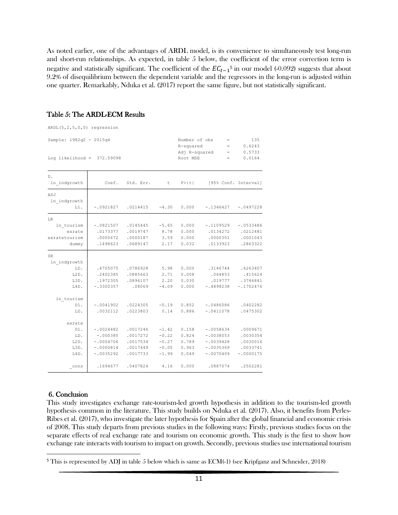As noted earlier, one of the advantages of ARDL model, is its convenience to simultaneously test long-run and short-run relationships. As expected, in table 5 below, the coefficient of the error correction term is negative and statistically significant. The coefficient of the  $EC_{t-1}$ <sup>5</sup> in our model (-0.092) suggests that about 9.2% of disequilibrium between the dependent variable and the regressors in the long-run is adjusted within one quarter. Remarkably, Nduka et al. (2017) report the same figure, but not statistically significant.

#### Table 5: The ARDL-ECM Results

| $ARDL(5, 2, 5, 0, 0)$ regression |             |           |         |               |             |          |                      |
|----------------------------------|-------------|-----------|---------|---------------|-------------|----------|----------------------|
| Sample: 1982q2 - 2015q4          |             |           |         | Number of obs |             | $=$      | 135                  |
|                                  |             |           |         | R-squared     |             | $=$      | 0.6243               |
|                                  |             |           |         | Adj R-squared |             | $=$      | 0.5733               |
| Log likelihood $=$<br>372.59098  |             |           |         | Root MSE      |             | $=$      | 0.0164               |
| D.                               |             |           |         |               |             |          |                      |
| ln indgrowth                     | Coef.       | Std. Err. | t       | P >  t        |             |          | [95% Conf. Interval] |
| ADJ                              |             |           |         |               |             |          |                      |
| 1n indgrowth                     |             |           |         |               |             |          |                      |
| $L1$ .                           | $-.0921827$ | .0214415  | $-4.30$ | 0.000         | $-.1346427$ |          | $-.0497228$          |
| LR                               |             |           |         |               |             |          |                      |
| In tourism                       | $-.0821507$ | .0145445  | $-5.65$ | 0.000         | $-.1109529$ |          | $-10533486$          |
| exrate                           | .0173377    | .0019747  | 8.78    | 0.000         |             | .0134272 | .0212481             |
| exratetourism                    | .0000672    | .0000187  | 3.59    | 0.000         |             | .0000301 | .0001043             |
| dummy                            | .1498623    | .0689147  | 2.17    | 0.032         |             | .0133923 | .2863322             |
| <b>SR</b>                        |             |           |         |               |             |          |                      |
| 1n indgrowth                     |             |           |         |               |             |          |                      |
| LD.                              | .4705075    | .0786928  | 5.98    | 0.000         |             | .3146744 | .6263407             |
| $L2D$ .                          | .2402385    | .0885663  | 2.71    | 0.008         |             | .064853  | .415624              |
| L3D.                             | .1972305    | .0896107  | 2.20    | 0.030         |             | .019777  | .3746841             |
| L4D.                             | $-.3300357$ | .08069    | $-4.09$ | 0.000         | $-.4898238$ |          | $-.1702476$          |
| In tourism                       |             |           |         |               |             |          |                      |
| $D1$ .                           | $-.0041902$ | .0224305  | $-0.19$ | 0.852         | $-10486086$ |          | .0402282             |
| LD.                              | .0032112    | .0223803  | 0.14    | 0.886         | $-.0411078$ |          | .0475302             |
| exrate                           |             |           |         |               |             |          |                      |
| $D1$ .                           | $-.0024482$ | .0017246  | $-1.42$ | 0.158         | $-10058634$ |          | .0009671             |
| LD.                              | $-.000385$  | .0017272  | $-0.22$ | 0.824         | $-.0038053$ |          | .0030354             |
| $L2D$ .                          | $-.0004706$ | .0017534  | $-0.27$ | 0.789         | $-10039428$ |          | .0030016             |
| L3D.                             | $-.0000814$ | .0017449  | $-0.05$ | 0.963         | $-.0035369$ |          | .0033741             |
| L4D.                             | $-.0035292$ | .0017733  | $-1.99$ | 0.049         | $-10070409$ |          | $-.0000175$          |
| cons                             | .1694677    | .0407824  | 4.16    | 0.000         |             | .0887074 | .2502281             |

#### 6. Conclusion

l

This study investigates exchange rate-tourism-led growth hypothesis in addition to the tourism-led growth hypothesis common in the literature. This study builds on Nduka et al. (2017). Also, it benefits from Perles-Ribes et al. (2017), who investigate the later hypothesis for Spain after the global financial and economic crisis of 2008. This study departs from previous studies in the following ways: Firstly, previous studies focus on the separate effects of real exchange rate and tourism on economic growth. This study is the first to show how exchange rate interacts with tourism to impact on growth. Secondly, previous studies use international tourism

<sup>5</sup> This is represented by ADJ in table 5 below which is same as ECM(-1) (see Kripfganz and Schneider, 2018)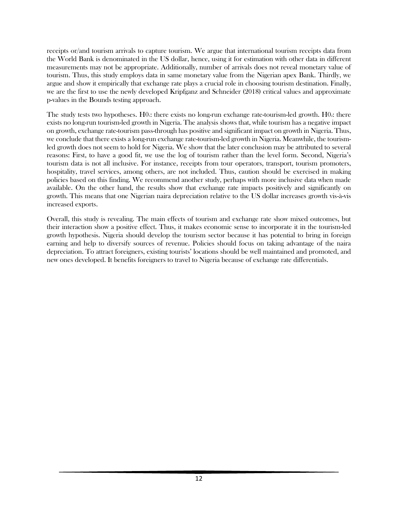receipts or/and tourism arrivals to capture tourism. We argue that international tourism receipts data from the World Bank is denominated in the US dollar, hence, using it for estimation with other data in different measurements may not be appropriate. Additionally, number of arrivals does not reveal monetary value of tourism. Thus, this study employs data in same monetary value from the Nigerian apex Bank. Thirdly, we argue and show it empirically that exchange rate plays a crucial role in choosing tourism destination. Finally, we are the first to use the newly developed Kripfganz and Schneider (2018) critical values and approximate p-values in the Bounds testing approach.

The study tests two hypotheses. H01: there exists no long-run exchange rate-tourism-led growth. H02: there exists no long-run tourism-led growth in Nigeria. The analysis shows that, while tourism has a negative impact on growth, exchange rate-tourism pass-through has positive and significant impact on growth in Nigeria. Thus, we conclude that there exists a long-run exchange rate-tourism-led growth in Nigeria. Meanwhile, the tourismled growth does not seem to hold for Nigeria. We show that the later conclusion may be attributed to several reasons: First, to have a good fit, we use the log of tourism rather than the level form. Second, Nigeria's tourism data is not all inclusive. For instance, receipts from tour operators, transport, tourism promoters, hospitality, travel services, among others, are not included. Thus, caution should be exercised in making policies based on this finding. We recommend another study, perhaps with more inclusive data when made available. On the other hand, the results show that exchange rate impacts positively and significantly on growth. This means that one Nigerian naira depreciation relative to the US dollar increases growth vis-à-vis increased exports.

Overall, this study is revealing. The main effects of tourism and exchange rate show mixed outcomes, but their interaction show a positive effect. Thus, it makes economic sense to incorporate it in the tourism-led growth hypothesis. Nigeria should develop the tourism sector because it has potential to bring in foreign earning and help to diversify sources of revenue. Policies should focus on taking advantage of the naira depreciation. To attract foreigners, existing tourists' locations should be well maintained and promoted, and new ones developed. It benefits foreigners to travel to Nigeria because of exchange rate differentials.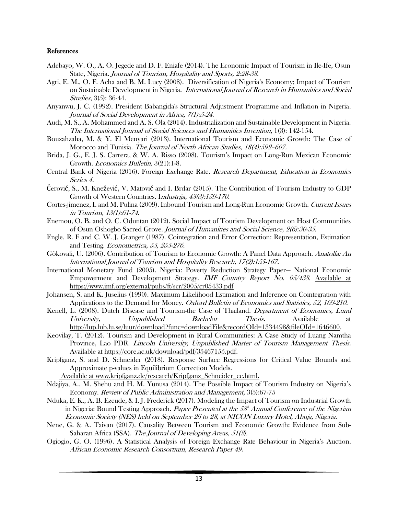#### References

- Adebayo, W. O., A. O. Jegede and D. F. Eniafe (2014). The Economic Impact of Tourism in Ile-Ife, Osun State, Nigeria. Journal of Tourism, Hospitality and Sports, 2:28-33.
- Agri, E. M., O. F. Acha and B. M. Lucy (2008). Diversification of Nigeria's Economy; Impact of Tourism on Sustainable Development in Nigeria. International Journal of Research in Humanities and Social Studies, 3(5): 36-44.
- Anyanwu, J. C. (1992). President Babangida's Structural Adjustment Programme and Inflation in Nigeria. Journal of Social Development in Africa, 7(1):5-24.
- Audi, M. S., A. Mohammed and A. S. Ola (2014). Industrialization and Sustainable Development in Nigeria. The International Journal of Social Sciences and Humanities Invention, 1(3): 142-154.
- Bouzahzaha, M. & Y. El Menyari (2013). International Tourism and Economic Growth: The Case of Morocco and Tunisia. The Journal of North African Studies, 18(4):592–607.
- Brida, J. G., E. J. S. Carrera, & W. A. Risso (2008). Tourism's Impact on Long-Run Mexican Economic Growth. Economics Bulletin, 3(21):1-8.
- Central Bank of Nigeria (2016). Foreign Exchange Rate. Research Department, Education in Economics Series 4.
- Čerović, S., M. Knežević, V. Matović and I. Brdar (2015). The Contribution of Tourism Industry to GDP Growth of Western Countries. Industrija, 43(3):159-170.
- Cortes-jimenez, I. and M. Pulina (2009). Inbound Tourism and Long-Run Economic Growth. Current Issues in Tourism, 13(1):61-74.
- Enemou, O. B. and O. C. Oduntan (2012). Social Impact of Tourism Development on Host Communities of Osun Oshogbo Sacred Grove. Journal of Humanities and Social Science, 2(6):30-35.
- Engle, R. F and C. W. J. Granger (1987). Cointegration and Error Correction: Representation, Estimation and Testing. Econometrica, 55, 255-276.
- Gõkovali, U. (2006). Contribution of Tourism to Economic Growth: A Panel Data Approach. Anatolla: An lnternational Journal of Tourism and Hospitality Research, 17(2):155-167.
- International Monetary Fund (2005). Nigeria: Poverty Reduction Strategy Paper— National Economic Empowerment and Development Strategy. IMF Country Report No. 05/433. Available at https://www.imf.org/external/pubs/ft/scr/2005/cr05433.pdf
- Johansen, S. and K. Juselius (1990). Maximum Likelihood Estimation and Inference on Cointegration with Applications to the Demand for Money. Oxford Bulletin of Economics and Statistics, 52, 169-210.
- Kenell, L. (2008). Dutch Disease and Tourism-the Case of Thailand. Department of Economics, Lund University, Unpublished Bachelor Thesis. Available at [http://lup.lub.lu.se/luur/download?func=downloadFile&recordOId=1334498&fileOId=1646600.](http://lup.lub.lu.se/luur/download?func=downloadFile&recordOId=1334498&fileOId=1646600)
- Keovilay, T. (2012). Tourism and Development in Rural Communities: A Case Study of Luang Namtha Province, Lao PDR. Lincoln University, Unpublished Master of Tourism Management Thesis. Available at [https://core.ac.uk/download/pdf/35467155.pdf.](https://core.ac.uk/download/pdf/35467155.pdf)
- Kripfganz, S. and D. Schneider (2018). Response Surface Regressions for Critical Value Bounds and Approximate p-values in Equilibrium Correction Models.

Available at www.kripfganz.de/research/Kripfganz\_Schneider\_ec.html.

- Ndajiya, A., M. Shehu and H. M. Yunusa (2014). The Possible Impact of Tourism Industry on Nigeria's Economy. Review of Public Administration and Management, 3(5):67-75
- Nduka, E. K., A. B. Ezeude, & I. J. Frederick (2017). Modeling the Impact of Tourism on Industrial Growth in Nigeria: Bound Testing Approach. Paper Presented at the 58<sup>th</sup> Annual Conference of the Nigerian Economic Society (NES) held on September 26 to 28, at NICON Luxury Hotel, Abuja, Nigeria.
- Nene, G. & A. Taivan (2017). Causality Between Tourism and Economic Growth: Evidence from Sub-Saharan Africa (SSA). The Journal of Developing Areas, 51(2).
- Ogiogio, G. O. (1996). A Statistical Analysis of Foreign Exchange Rate Behaviour in Nigeria's Auction. African Economic Research Consortium, Research Paper 49.